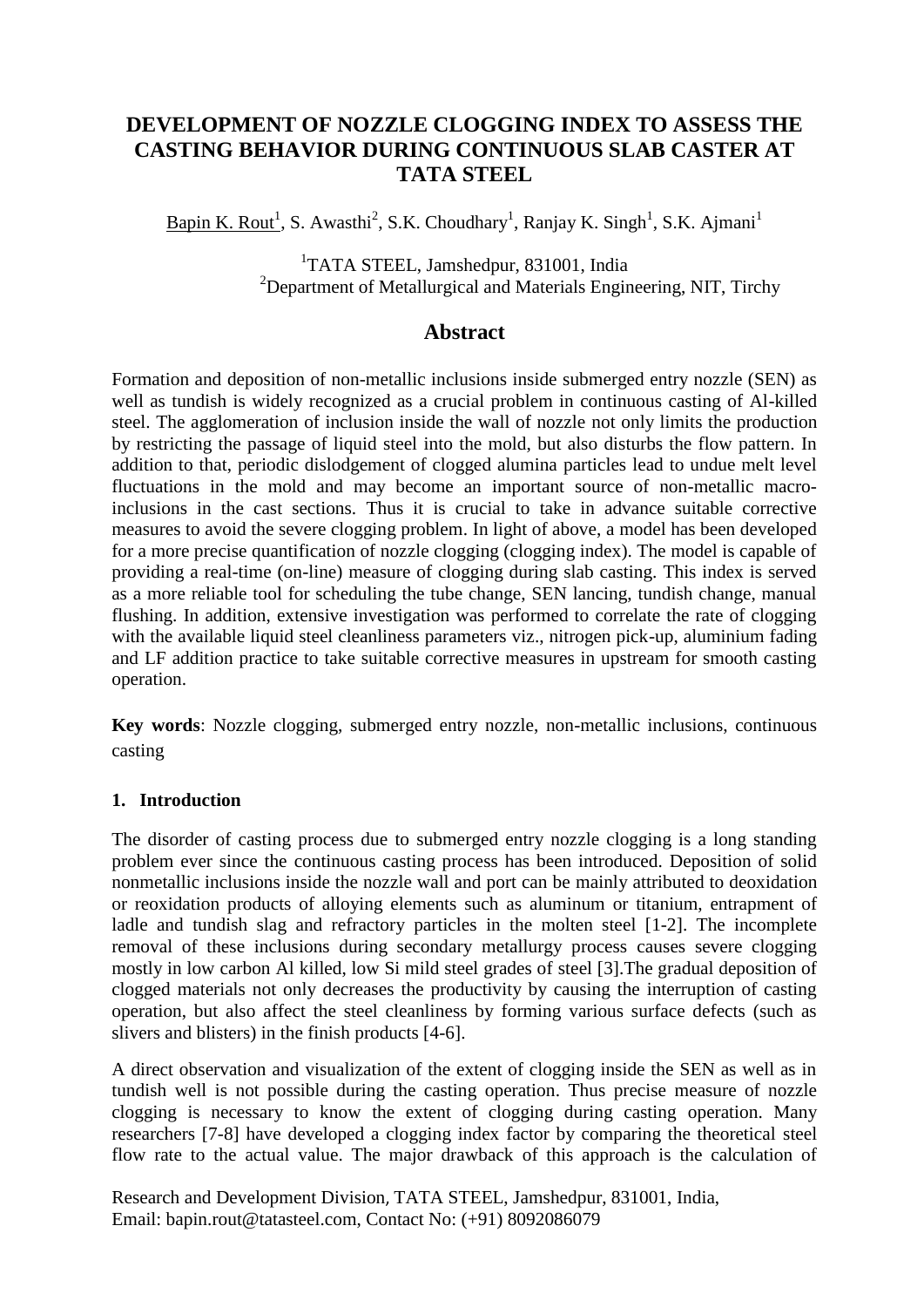## **DEVELOPMENT OF NOZZLE CLOGGING INDEX TO ASSESS THE CASTING BEHAVIOR DURING CONTINUOUS SLAB CASTER AT TATA STEEL**

Bapin K. Rout<sup>1</sup>, S. Awasthi<sup>2</sup>, S.K. Choudhary<sup>1</sup>, Ranjay K. Singh<sup>1</sup>, S.K. Ajmani<sup>1</sup>

<sup>1</sup>TATA STEEL, Jamshedpur, 831001, India <sup>2</sup>Department of Metallurgical and Materials Engineering, NIT, Tirchy

## **Abstract**

Formation and deposition of non-metallic inclusions inside submerged entry nozzle (SEN) as well as tundish is widely recognized as a crucial problem in continuous casting of Al-killed steel. The agglomeration of inclusion inside the wall of nozzle not only limits the production by restricting the passage of liquid steel into the mold, but also disturbs the flow pattern. In addition to that, periodic dislodgement of clogged alumina particles lead to undue melt level fluctuations in the mold and may become an important source of non-metallic macroinclusions in the cast sections. Thus it is crucial to take in advance suitable corrective measures to avoid the severe clogging problem. In light of above, a model has been developed for a more precise quantification of nozzle clogging (clogging index). The model is capable of providing a real-time (on-line) measure of clogging during slab casting. This index is served as a more reliable tool for scheduling the tube change, SEN lancing, tundish change, manual flushing. In addition, extensive investigation was performed to correlate the rate of clogging with the available liquid steel cleanliness parameters viz., nitrogen pick-up, aluminium fading and LF addition practice to take suitable corrective measures in upstream for smooth casting operation.

**Key words**: Nozzle clogging, submerged entry nozzle, non-metallic inclusions, continuous casting

#### **1. Introduction**

The disorder of casting process due to submerged entry nozzle clogging is a long standing problem ever since the continuous casting process has been introduced. Deposition of solid nonmetallic inclusions inside the nozzle wall and port can be mainly attributed to deoxidation or reoxidation products of alloying elements such as aluminum or titanium, entrapment of ladle and tundish slag and refractory particles in the molten steel [1-2]. The incomplete removal of these inclusions during secondary metallurgy process causes severe clogging mostly in low carbon Al killed, low Si mild steel grades of steel [3].The gradual deposition of clogged materials not only decreases the productivity by causing the interruption of casting operation, but also affect the steel cleanliness by forming various surface defects (such as slivers and blisters) in the finish products [4-6].

A direct observation and visualization of the extent of clogging inside the SEN as well as in tundish well is not possible during the casting operation. Thus precise measure of nozzle clogging is necessary to know the extent of clogging during casting operation. Many researchers [7-8] have developed a clogging index factor by comparing the theoretical steel flow rate to the actual value. The major drawback of this approach is the calculation of

Research and Development Division, TATA STEEL, Jamshedpur, 831001, India, Email: bapin.rout@tatasteel.com, Contact No: (+91) 8092086079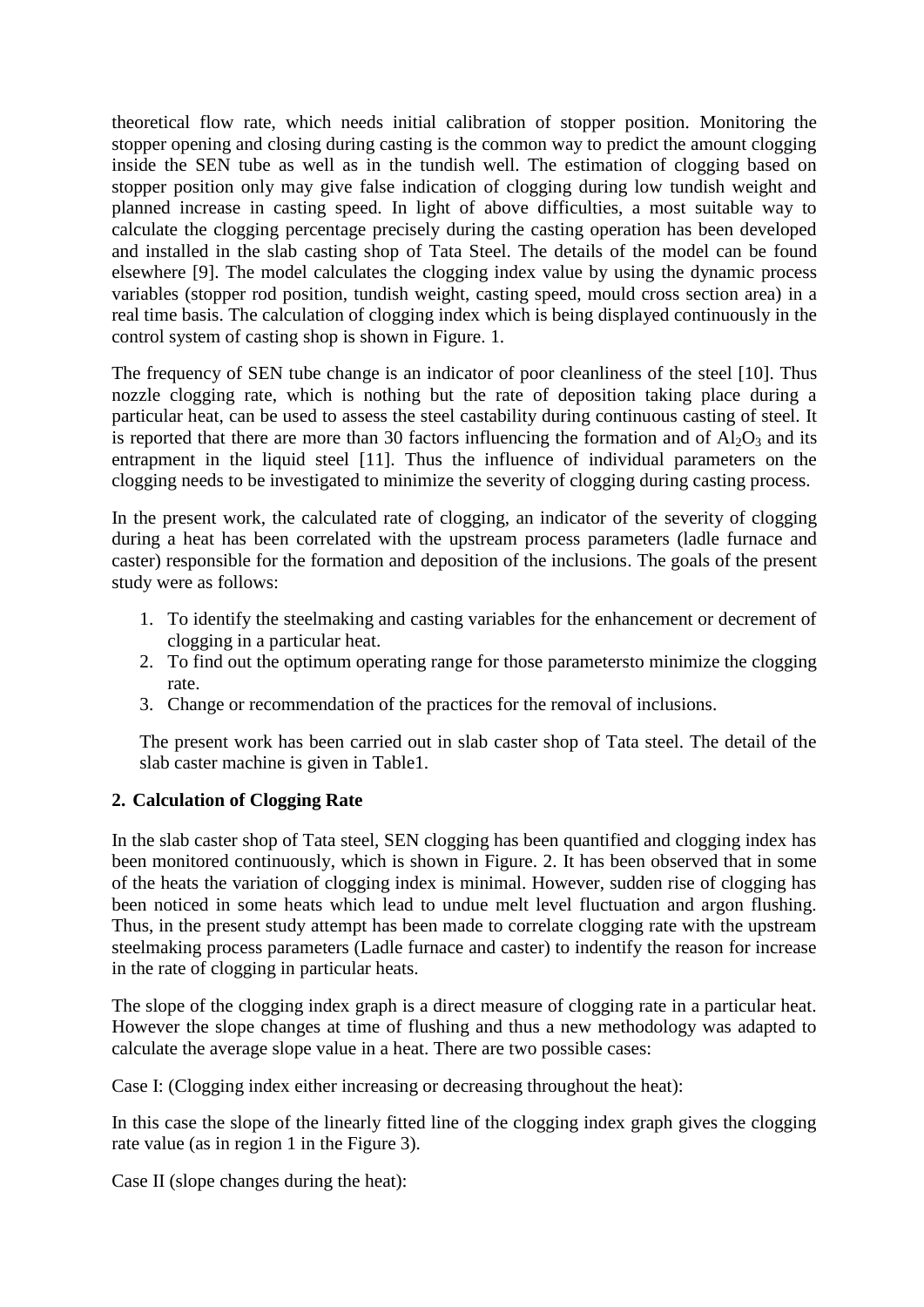theoretical flow rate, which needs initial calibration of stopper position. Monitoring the stopper opening and closing during casting is the common way to predict the amount clogging inside the SEN tube as well as in the tundish well. The estimation of clogging based on stopper position only may give false indication of clogging during low tundish weight and planned increase in casting speed. In light of above difficulties, a most suitable way to calculate the clogging percentage precisely during the casting operation has been developed and installed in the slab casting shop of Tata Steel. The details of the model can be found elsewhere [9]. The model calculates the clogging index value by using the dynamic process variables (stopper rod position, tundish weight, casting speed, mould cross section area) in a real time basis. The calculation of clogging index which is being displayed continuously in the control system of casting shop is shown in Figure. 1.

The frequency of SEN tube change is an indicator of poor cleanliness of the steel [10]. Thus nozzle clogging rate, which is nothing but the rate of deposition taking place during a particular heat, can be used to assess the steel castability during continuous casting of steel. It is reported that there are more than 30 factors influencing the formation and of  $\overline{Al_2O_3}$  and its entrapment in the liquid steel [11]. Thus the influence of individual parameters on the clogging needs to be investigated to minimize the severity of clogging during casting process.

In the present work, the calculated rate of clogging, an indicator of the severity of clogging during a heat has been correlated with the upstream process parameters (ladle furnace and caster) responsible for the formation and deposition of the inclusions. The goals of the present study were as follows:

- 1. To identify the steelmaking and casting variables for the enhancement or decrement of clogging in a particular heat.
- 2. To find out the optimum operating range for those parametersto minimize the clogging rate.
- 3. Change or recommendation of the practices for the removal of inclusions.

The present work has been carried out in slab caster shop of Tata steel. The detail of the slab caster machine is given in Table1.

## **2. Calculation of Clogging Rate**

In the slab caster shop of Tata steel, SEN clogging has been quantified and clogging index has been monitored continuously, which is shown in Figure. 2. It has been observed that in some of the heats the variation of clogging index is minimal. However, sudden rise of clogging has been noticed in some heats which lead to undue melt level fluctuation and argon flushing. Thus, in the present study attempt has been made to correlate clogging rate with the upstream steelmaking process parameters (Ladle furnace and caster) to indentify the reason for increase in the rate of clogging in particular heats.

The slope of the clogging index graph is a direct measure of clogging rate in a particular heat. However the slope changes at time of flushing and thus a new methodology was adapted to calculate the average slope value in a heat. There are two possible cases:

Case I: (Clogging index either increasing or decreasing throughout the heat):

In this case the slope of the linearly fitted line of the clogging index graph gives the clogging rate value (as in region 1 in the Figure 3).

Case II (slope changes during the heat):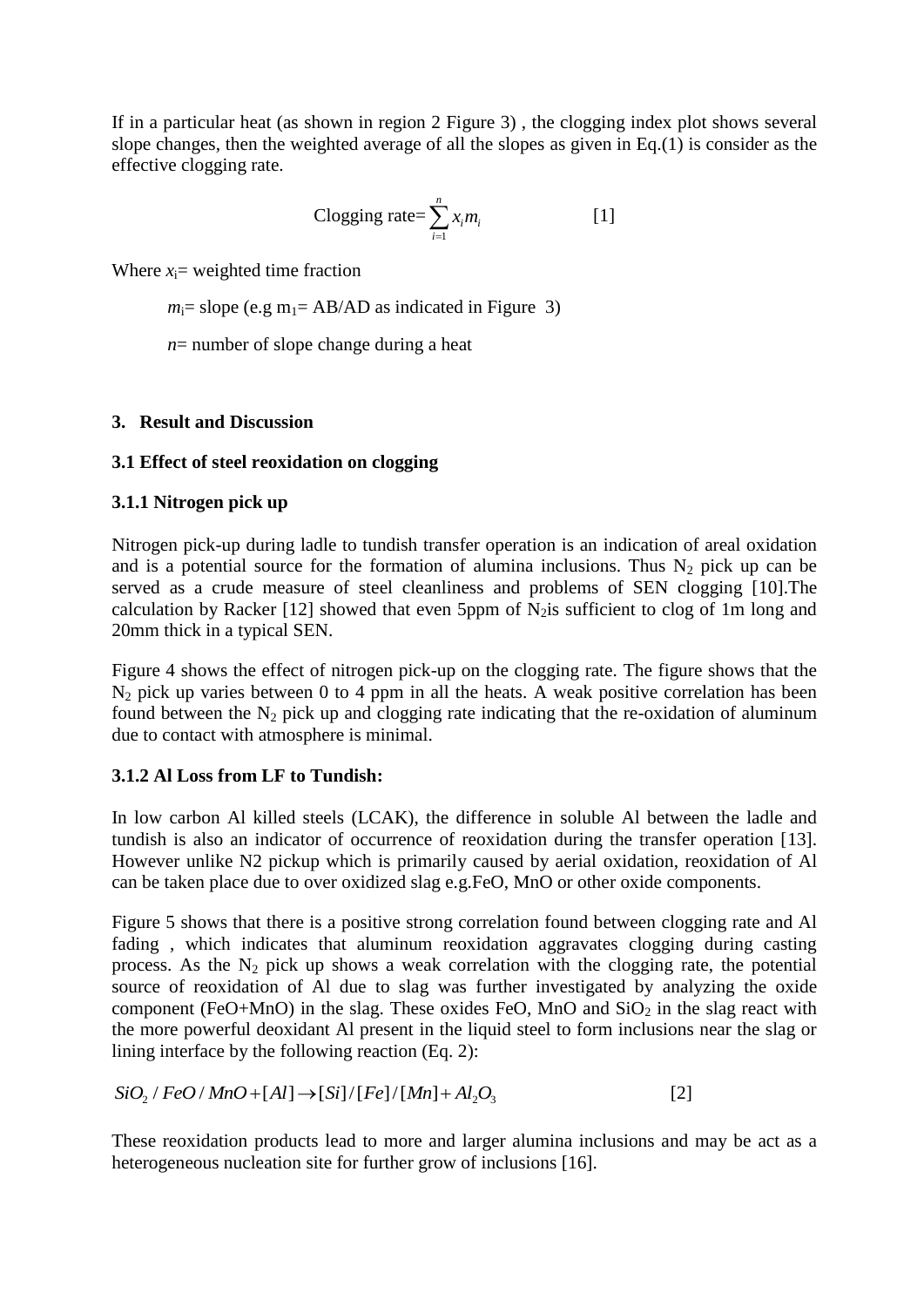If in a particular heat (as shown in region 2 Figure 3) , the clogging index plot shows several slope changes, then the weighted average of all the slopes as given in Eq.(1) is consider as the effective clogging rate.

Clogging rate = 
$$
\sum_{i=1}^{n} x_i m_i
$$
 [1]

Where  $x_i$ = weighted time fraction

 $m_i$ = slope (e.g m<sub>1</sub>= AB/AD as indicated in Figure 3)

*n*= number of slope change during a heat

#### **3. Result and Discussion**

#### **3.1 Effect of steel reoxidation on clogging**

#### **3.1.1 Nitrogen pick up**

Nitrogen pick-up during ladle to tundish transfer operation is an indication of areal oxidation and is a potential source for the formation of alumina inclusions. Thus  $N_2$  pick up can be served as a crude measure of steel cleanliness and problems of SEN clogging [10]. The calculation by Racker [12] showed that even 5ppm of  $N_2$  is sufficient to clog of 1m long and 20mm thick in a typical SEN.

Figure 4 shows the effect of nitrogen pick-up on the clogging rate. The figure shows that the  $N_2$  pick up varies between 0 to 4 ppm in all the heats. A weak positive correlation has been found between the  $N_2$  pick up and clogging rate indicating that the re-oxidation of aluminum due to contact with atmosphere is minimal.

#### **3.1.2 Al Loss from LF to Tundish:**

In low carbon Al killed steels (LCAK), the difference in soluble Al between the ladle and tundish is also an indicator of occurrence of reoxidation during the transfer operation [13]. However unlike N2 pickup which is primarily caused by aerial oxidation, reoxidation of Al can be taken place due to over oxidized slag e.g.FeO, MnO or other oxide components.

Figure 5 shows that there is a positive strong correlation found between clogging rate and Al fading , which indicates that aluminum reoxidation aggravates clogging during casting process. As the  $N<sub>2</sub>$  pick up shows a weak correlation with the clogging rate, the potential source of reoxidation of Al due to slag was further investigated by analyzing the oxide component (FeO+MnO) in the slag. These oxides FeO, MnO and  $SiO<sub>2</sub>$  in the slag react with the more powerful deoxidant Al present in the liquid steel to form inclusions near the slag or

lining interface by the following reaction (Eq. 2):

\n
$$
SiO_2 / FeO/MnO + [Al] \rightarrow [Si]/[Fe]/[Mn] + Al_2O_3
$$
\n[2]

These reoxidation products lead to more and larger alumina inclusions and may be act as a heterogeneous nucleation site for further grow of inclusions [16].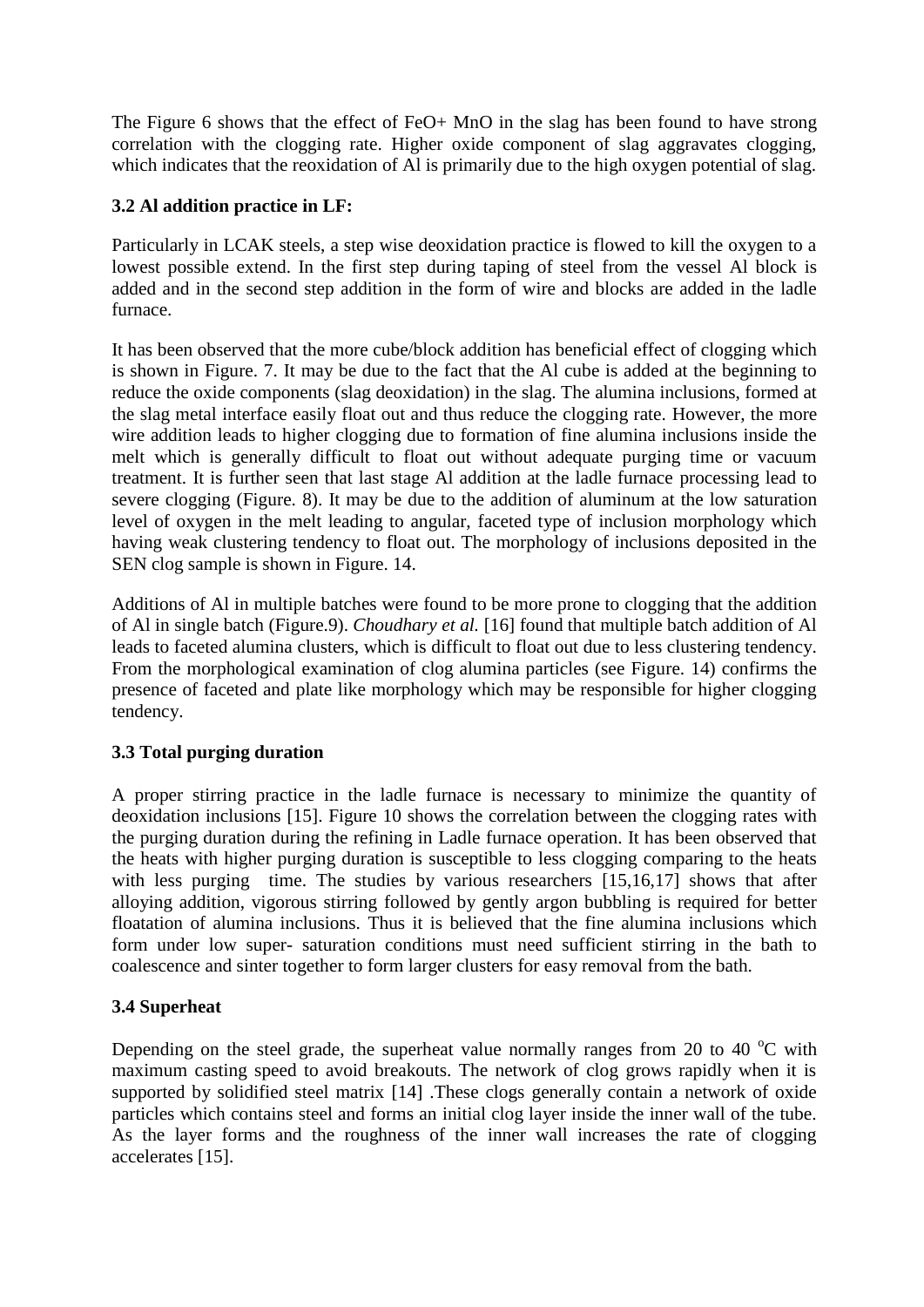The Figure 6 shows that the effect of FeO+ MnO in the slag has been found to have strong correlation with the clogging rate. Higher oxide component of slag aggravates clogging, which indicates that the reoxidation of Al is primarily due to the high oxygen potential of slag.

## **3.2 Al addition practice in LF:**

Particularly in LCAK steels, a step wise deoxidation practice is flowed to kill the oxygen to a lowest possible extend. In the first step during taping of steel from the vessel Al block is added and in the second step addition in the form of wire and blocks are added in the ladle furnace.

It has been observed that the more cube/block addition has beneficial effect of clogging which is shown in Figure. 7. It may be due to the fact that the Al cube is added at the beginning to reduce the oxide components (slag deoxidation) in the slag. The alumina inclusions, formed at the slag metal interface easily float out and thus reduce the clogging rate. However, the more wire addition leads to higher clogging due to formation of fine alumina inclusions inside the melt which is generally difficult to float out without adequate purging time or vacuum treatment. It is further seen that last stage Al addition at the ladle furnace processing lead to severe clogging (Figure. 8). It may be due to the addition of aluminum at the low saturation level of oxygen in the melt leading to angular, faceted type of inclusion morphology which having weak clustering tendency to float out. The morphology of inclusions deposited in the SEN clog sample is shown in Figure. 14.

Additions of Al in multiple batches were found to be more prone to clogging that the addition of Al in single batch (Figure.9). *Choudhary et al.* [16] found that multiple batch addition of Al leads to faceted alumina clusters, which is difficult to float out due to less clustering tendency. From the morphological examination of clog alumina particles (see Figure. 14) confirms the presence of faceted and plate like morphology which may be responsible for higher clogging tendency.

## **3.3 Total purging duration**

A proper stirring practice in the ladle furnace is necessary to minimize the quantity of deoxidation inclusions [15]. Figure 10 shows the correlation between the clogging rates with the purging duration during the refining in Ladle furnace operation. It has been observed that the heats with higher purging duration is susceptible to less clogging comparing to the heats with less purging time. The studies by various researchers [15,16,17] shows that after alloying addition, vigorous stirring followed by gently argon bubbling is required for better floatation of alumina inclusions. Thus it is believed that the fine alumina inclusions which form under low super- saturation conditions must need sufficient stirring in the bath to coalescence and sinter together to form larger clusters for easy removal from the bath.

#### **3.4 Superheat**

Depending on the steel grade, the superheat value normally ranges from 20 to 40  $^{\circ}$ C with maximum casting speed to avoid breakouts. The network of clog grows rapidly when it is supported by solidified steel matrix [14] .These clogs generally contain a network of oxide particles which contains steel and forms an initial clog layer inside the inner wall of the tube. As the layer forms and the roughness of the inner wall increases the rate of clogging accelerates [15].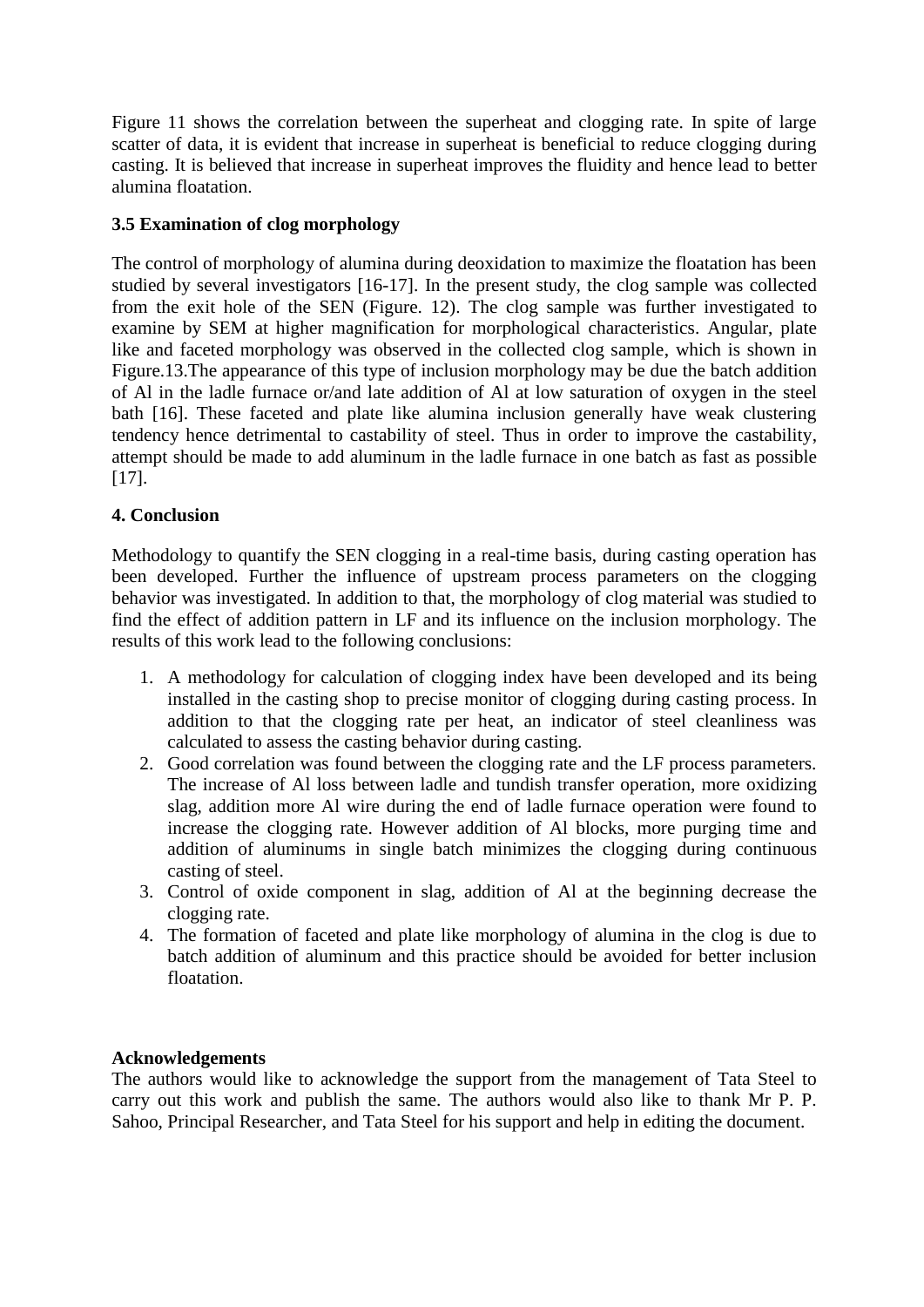Figure 11 shows the correlation between the superheat and clogging rate. In spite of large scatter of data, it is evident that increase in superheat is beneficial to reduce clogging during casting. It is believed that increase in superheat improves the fluidity and hence lead to better alumina floatation.

#### **3.5 Examination of clog morphology**

The control of morphology of alumina during deoxidation to maximize the floatation has been studied by several investigators [16-17]. In the present study, the clog sample was collected from the exit hole of the SEN (Figure. 12). The clog sample was further investigated to examine by SEM at higher magnification for morphological characteristics. Angular, plate like and faceted morphology was observed in the collected clog sample, which is shown in Figure.13.The appearance of this type of inclusion morphology may be due the batch addition of Al in the ladle furnace or/and late addition of Al at low saturation of oxygen in the steel bath [16]. These faceted and plate like alumina inclusion generally have weak clustering tendency hence detrimental to castability of steel. Thus in order to improve the castability, attempt should be made to add aluminum in the ladle furnace in one batch as fast as possible [17].

## **4. Conclusion**

Methodology to quantify the SEN clogging in a real-time basis, during casting operation has been developed. Further the influence of upstream process parameters on the clogging behavior was investigated. In addition to that, the morphology of clog material was studied to find the effect of addition pattern in LF and its influence on the inclusion morphology. The results of this work lead to the following conclusions:

- 1. A methodology for calculation of clogging index have been developed and its being installed in the casting shop to precise monitor of clogging during casting process. In addition to that the clogging rate per heat, an indicator of steel cleanliness was calculated to assess the casting behavior during casting.
- 2. Good correlation was found between the clogging rate and the LF process parameters. The increase of Al loss between ladle and tundish transfer operation, more oxidizing slag, addition more Al wire during the end of ladle furnace operation were found to increase the clogging rate. However addition of Al blocks, more purging time and addition of aluminums in single batch minimizes the clogging during continuous casting of steel.
- 3. Control of oxide component in slag, addition of Al at the beginning decrease the clogging rate.
- 4. The formation of faceted and plate like morphology of alumina in the clog is due to batch addition of aluminum and this practice should be avoided for better inclusion floatation.

#### **Acknowledgements**

The authors would like to acknowledge the support from the management of Tata Steel to carry out this work and publish the same. The authors would also like to thank Mr P. P. Sahoo, Principal Researcher, and Tata Steel for his support and help in editing the document.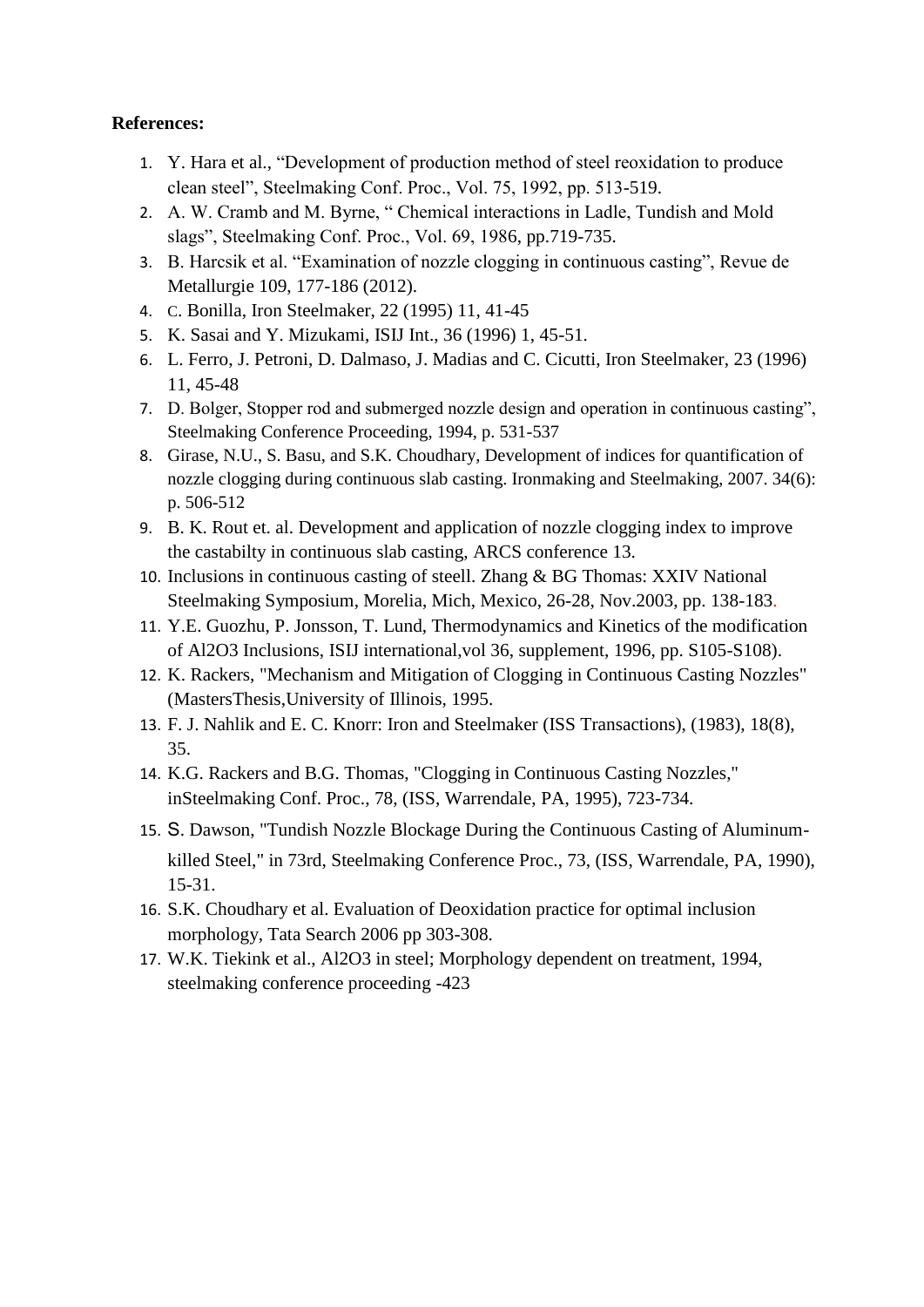#### **References:**

- 1. Y. Hara et al., "Development of production method of steel reoxidation to produce clean steel", Steelmaking Conf. Proc., Vol. 75, 1992, pp. 513-519.
- 2. A. W. Cramb and M. Byrne, " Chemical interactions in Ladle, Tundish and Mold slags", Steelmaking Conf. Proc., Vol. 69, 1986, pp.719-735.
- 3. B. Harcsik et al. "Examination of nozzle clogging in continuous casting", Revue de Metallurgie 109, 177-186 (2012).
- 4. C. Bonilla, Iron Steelmaker, 22 (1995) 11, 41-45
- 5. K. Sasai and Y. Mizukami, ISIJ Int., 36 (1996) 1, 45-51.
- 6. L. Ferro, J. Petroni, D. Dalmaso, J. Madias and C. Cicutti, Iron Steelmaker, 23 (1996) 11, 45-48
- 7. D. Bolger, Stopper rod and submerged nozzle design and operation in continuous casting", Steelmaking Conference Proceeding, 1994, p. 531-537
- 8. Girase, N.U., S. Basu, and S.K. Choudhary, Development of indices for quantification of nozzle clogging during continuous slab casting. Ironmaking and Steelmaking, 2007. 34(6): p. 506-512
- 9. B. K. Rout et. al. Development and application of nozzle clogging index to improve the castabilty in continuous slab casting, ARCS conference 13.
- 10. Inclusions in continuous casting of steell. Zhang & BG Thomas: XXIV National Steelmaking Symposium, Morelia, Mich, Mexico, 26-28, Nov.2003, pp. 138-183.
- 11. Y.E. Guozhu, P. Jonsson, T. Lund, Thermodynamics and Kinetics of the modification of Al2O3 Inclusions, ISIJ international,vol 36, supplement, 1996, pp. S105-S108).
- 12. K. Rackers, "Mechanism and Mitigation of Clogging in Continuous Casting Nozzles" (MastersThesis,University of Illinois, 1995.
- 13. F. J. Nahlik and E. C. Knorr: Iron and Steelmaker (ISS Transactions), (1983), 18(8), 35.
- 14. K.G. Rackers and B.G. Thomas, "Clogging in Continuous Casting Nozzles," inSteelmaking Conf. Proc., 78, (ISS, Warrendale, PA, 1995), 723-734.
- 15. S. Dawson, "Tundish Nozzle Blockage During the Continuous Casting of Aluminumkilled Steel," in 73rd, Steelmaking Conference Proc., 73, (ISS, Warrendale, PA, 1990), 15-31.
- 16. S.K. Choudhary et al. Evaluation of Deoxidation practice for optimal inclusion morphology, Tata Search 2006 pp 303-308.
- 17. W.K. Tiekink et al., Al2O3 in steel; Morphology dependent on treatment, 1994, steelmaking conference proceeding -423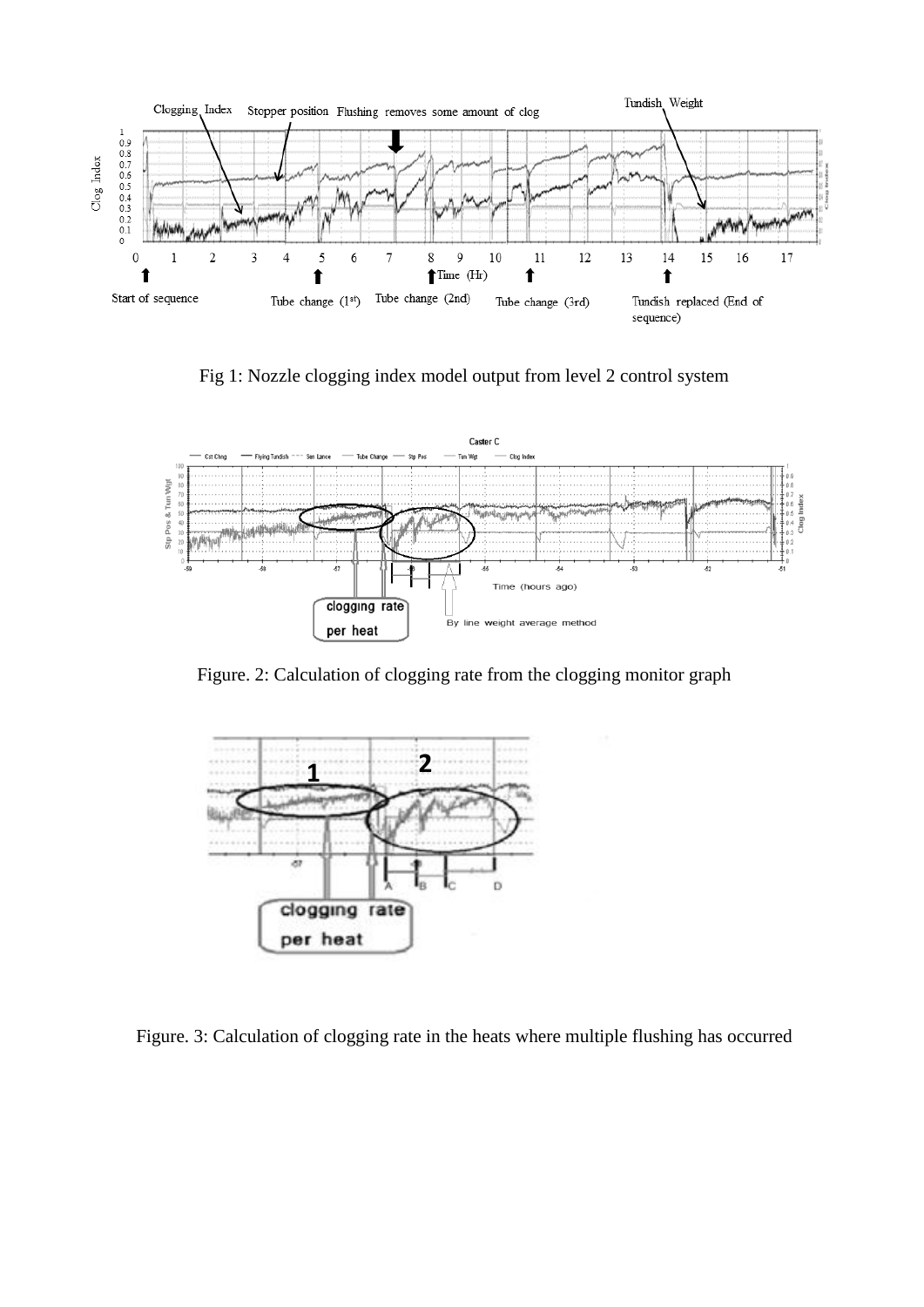

Fig 1: Nozzle clogging index model output from level 2 control system



Figure. 2: Calculation of clogging rate from the clogging monitor graph



Figure. 3: Calculation of clogging rate in the heats where multiple flushing has occurred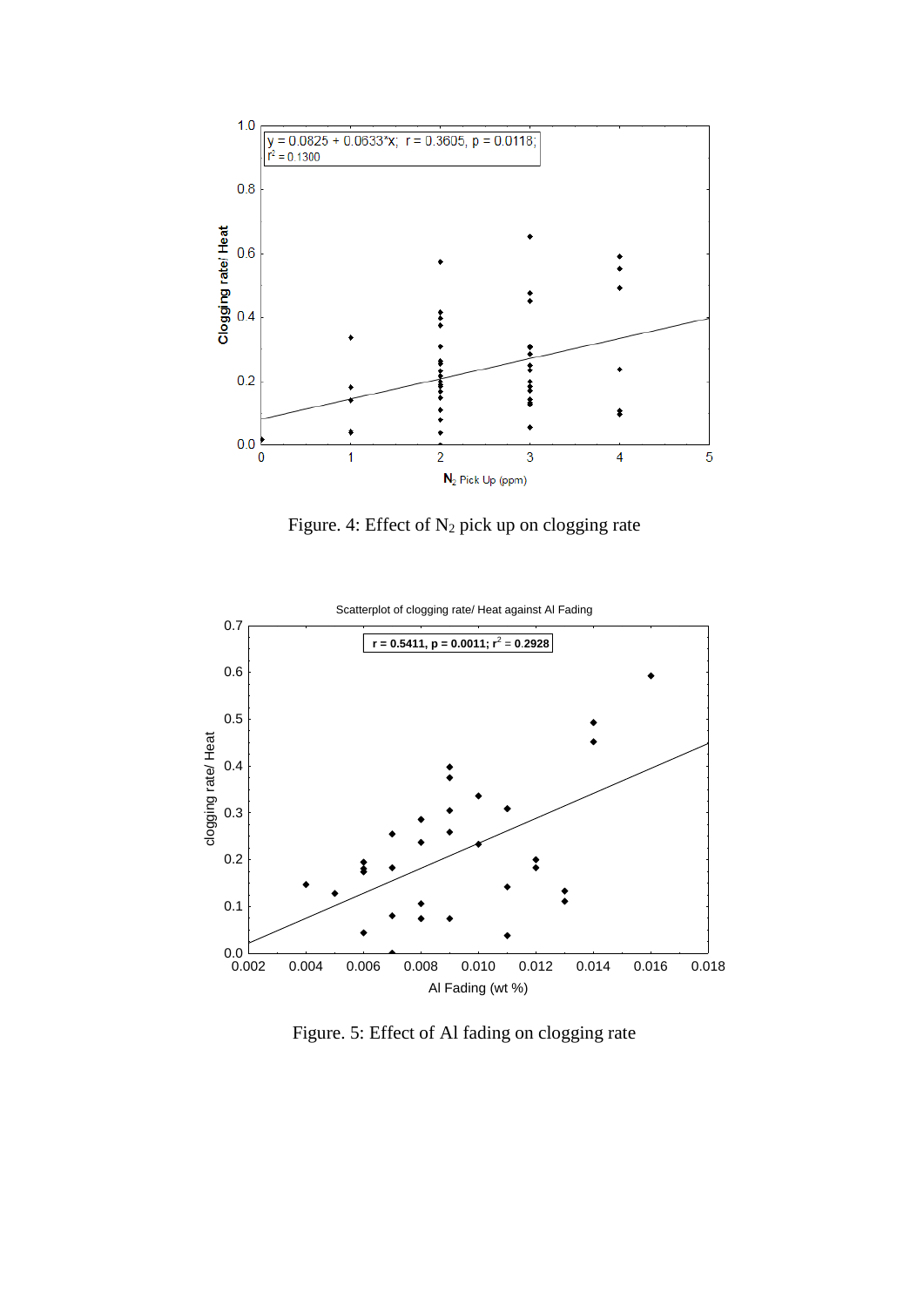

Figure. 4: Effect of  $N_2$  pick up on clogging rate



Figure. 5: Effect of Al fading on clogging rate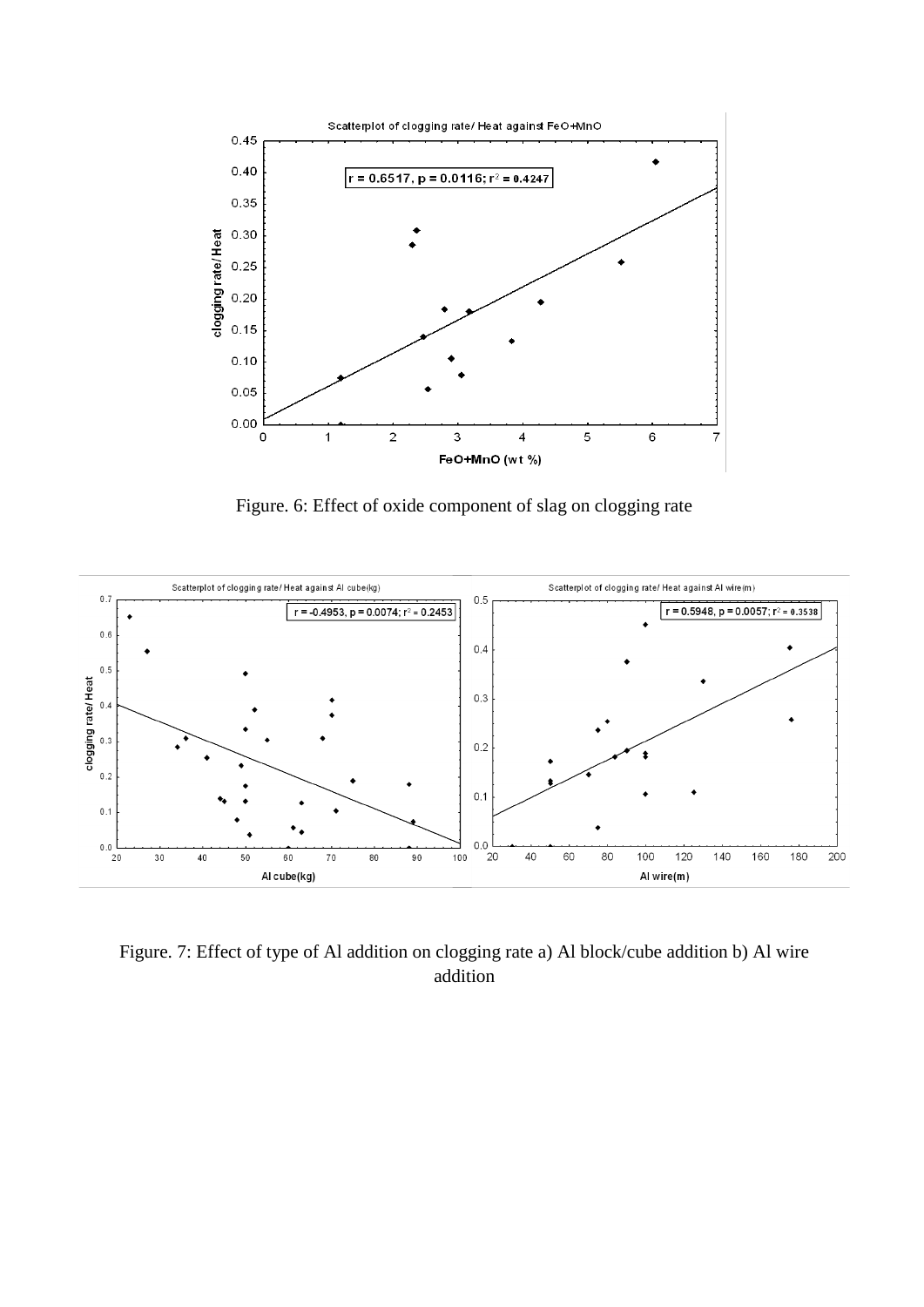

Figure. 6: Effect of oxide component of slag on clogging rate



Figure. 7: Effect of type of Al addition on clogging rate a) Al block/cube addition b) Al wire addition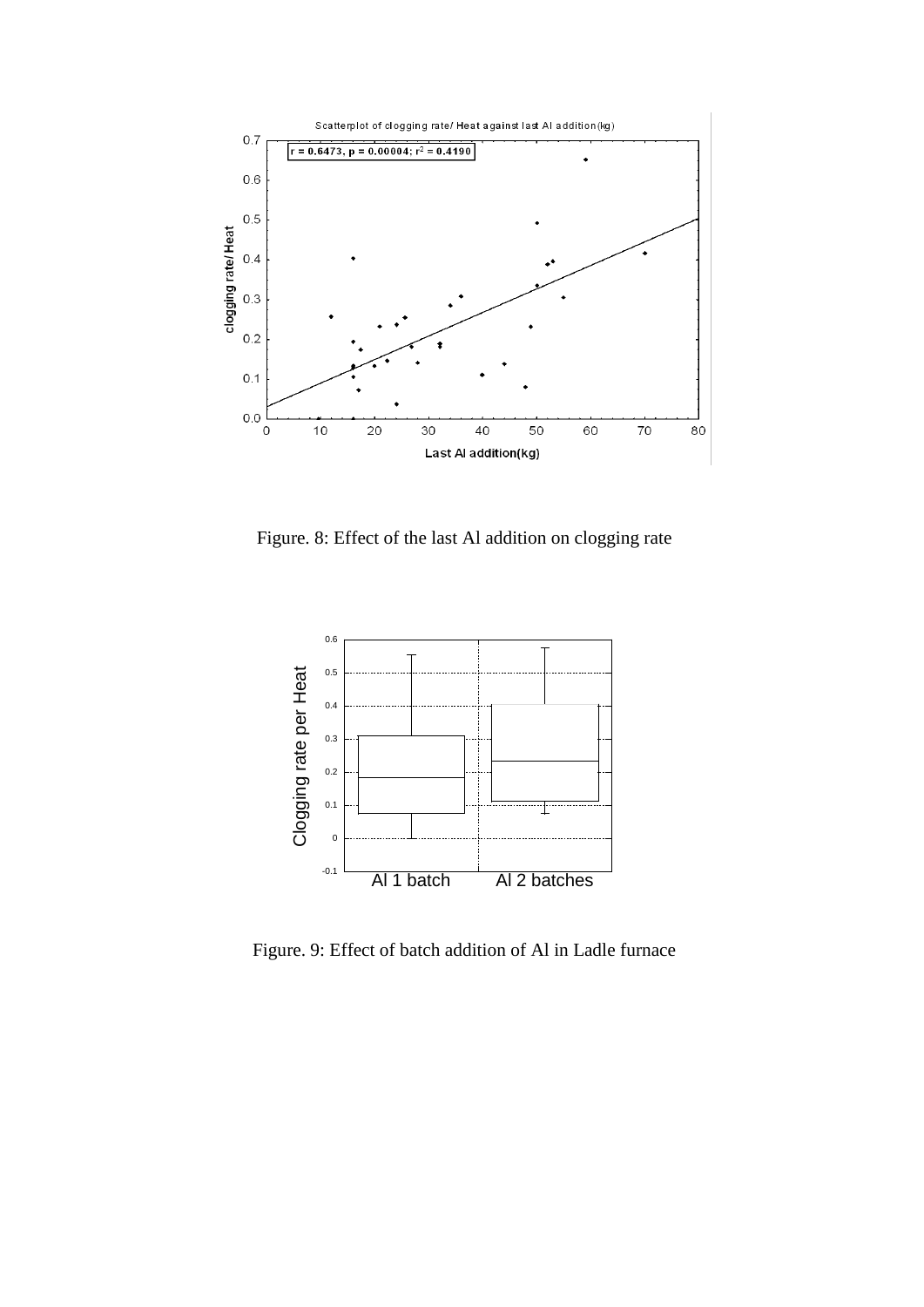

Figure. 8: Effect of the last Al addition on clogging rate



Figure. 9: Effect of batch addition of Al in Ladle furnace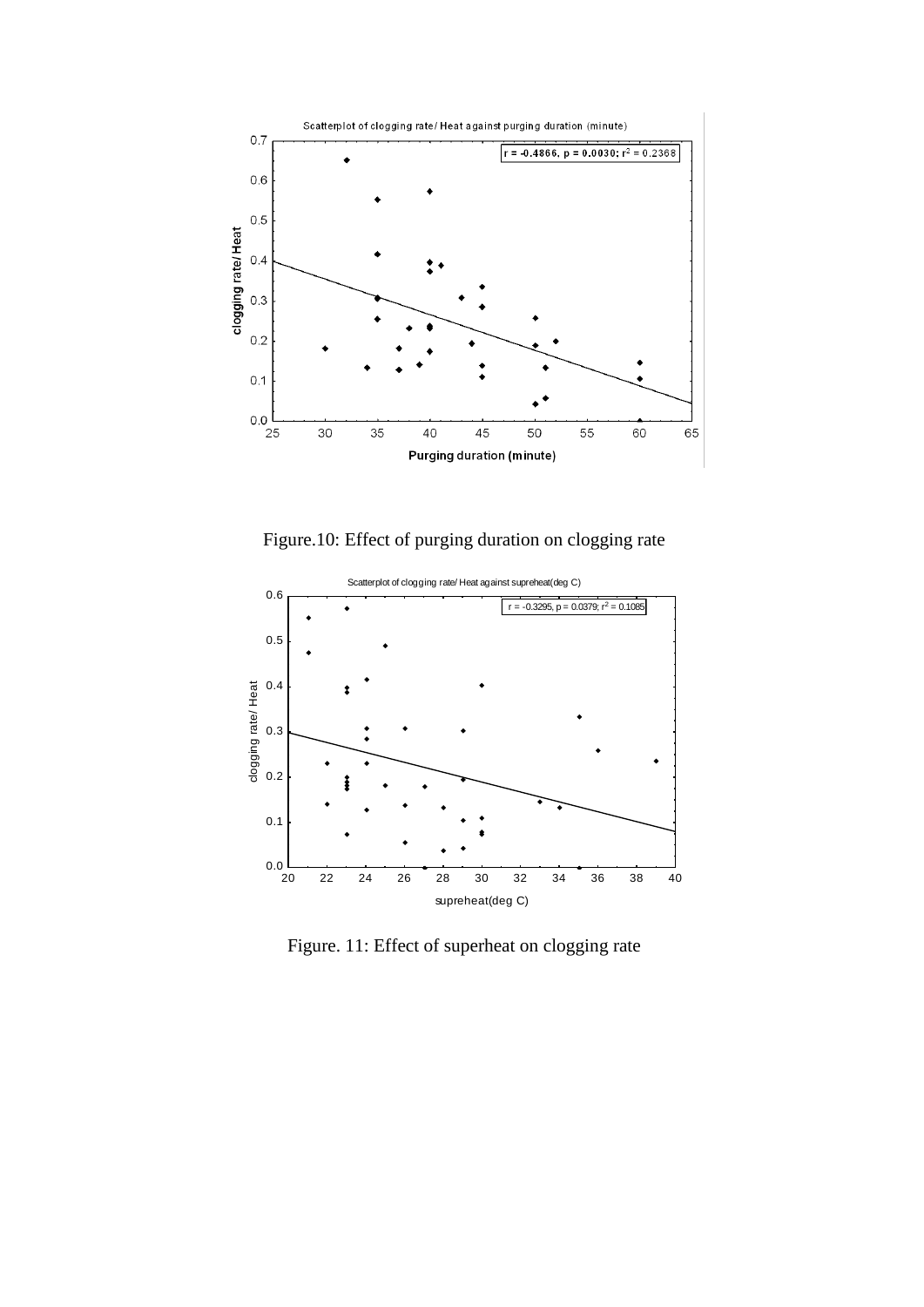

Figure.10: Effect of purging duration on clogging rate



Figure. 11: Effect of superheat on clogging rate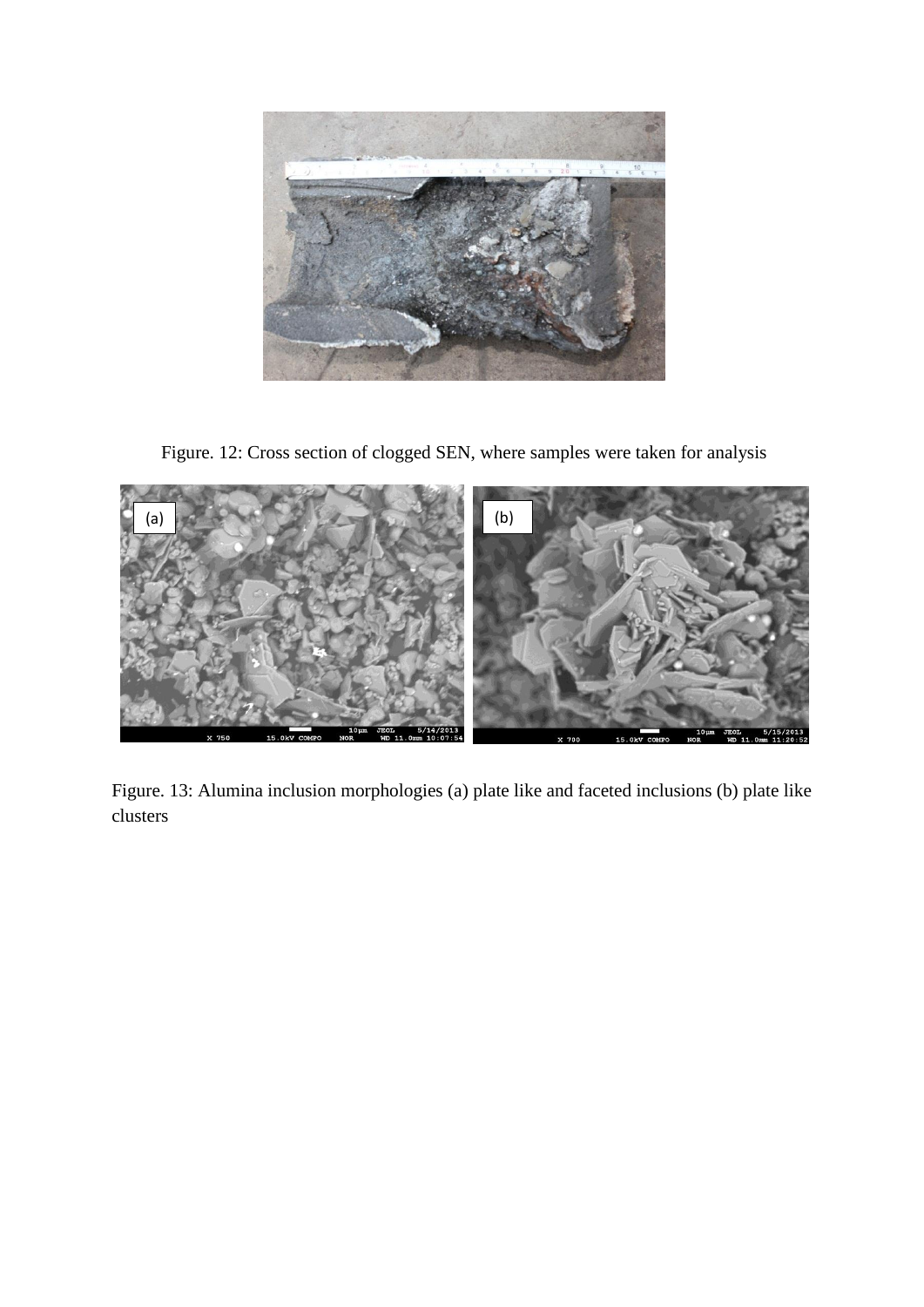

Figure. 12: Cross section of clogged SEN, where samples were taken for analysis



Figure. 13: Alumina inclusion morphologies (a) plate like and faceted inclusions (b) plate like clusters